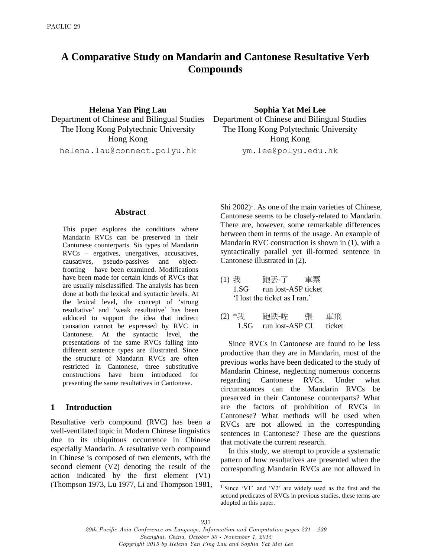# **A Comparative Study on Mandarin and Cantonese Resultative Verb Compounds**

**Helena Yan Ping Lau Sophia Yat Mei Lee** Hong Kong Hong Kong

helena.lau@connect.polyu.hk ym.lee@polyu.edu.hk

Department of Chinese and Bilingual Studies Department of Chinese and Bilingual Studies The Hong Kong Polytechnic University The Hong Kong Polytechnic University

#### **Abstract**

This paper explores the conditions where Mandarin RVCs can be preserved in their Cantonese counterparts. Six types of Mandarin RVCs – ergatives, unergatives, accusatives, causatives, pseudo-passives and objectfronting – have been examined. Modifications have been made for certain kinds of RVCs that are usually misclassified. The analysis has been done at both the lexical and syntactic levels. At the lexical level, the concept of 'strong resultative' and 'weak resultative' has been adduced to support the idea that indirect causation cannot be expressed by RVC in Cantonese. At the syntactic level, the presentations of the same RVCs falling into different sentence types are illustrated. Since the structure of Mandarin RVCs are often restricted in Cantonese, three substitutive constructions have been introduced for presenting the same resultatives in Cantonese.

### **1 Introduction**

Resultative verb compound (RVC) has been a well-ventilated topic in Modern Chinese linguistics due to its ubiquitous occurrence in Chinese especially Mandarin. A resultative verb compound in Chinese is composed of two elements, with the second element (V2) denoting the result of the action indicated by the first element (V1) (Thompson 1973, Lu 1977, Li and Thompson 1981,

Shi  $2002$ <sup>1</sup>. As one of the main varieties of Chinese, Cantonese seems to be closely-related to Mandarin. There are, however, some remarkable differences between them in terms of the usage. An example of Mandarin RVC construction is shown in (1), with a syntactically parallel yet ill-formed sentence in Cantonese illustrated in (2).

- (1) 我 跑丟-了 車票 1.SG run lost-ASP ticket 'I lost the ticket as I ran.'
- (2) \*我 跑跌-咗 張 車飛 1.SG run lost-ASP CL ticket

Since RVCs in Cantonese are found to be less productive than they are in Mandarin, most of the previous works have been dedicated to the study of Mandarin Chinese, neglecting numerous concerns regarding Cantonese RVCs. Under what circumstances can the Mandarin RVCs be preserved in their Cantonese counterparts? What are the factors of prohibition of RVCs in Cantonese? What methods will be used when RVCs are not allowed in the corresponding sentences in Cantonese? These are the questions that motivate the current research.

In this study, we attempt to provide a systematic pattern of how resultatives are presented when the corresponding Mandarin RVCs are not allowed in

l

<sup>1</sup> Since 'V1' and 'V2' are widely used as the first and the second predicates of RVCs in previous studies, these terms are adopted in this paper.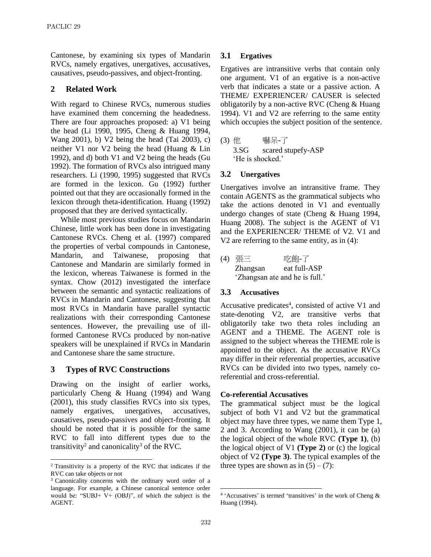Cantonese, by examining six types of Mandarin RVCs, namely ergatives, unergatives, accusatives, causatives, pseudo-passives, and object-fronting.

### **2 Related Work**

With regard to Chinese RVCs, numerous studies have examined them concerning the headedness. There are four approaches proposed: a) V1 being the head (Li 1990, 1995, Cheng & Huang 1994, Wang 2001), b) V2 being the head (Tai 2003), c) neither V1 nor V2 being the head (Huang & Lin 1992), and d) both V1 and V2 being the heads (Gu 1992). The formation of RVCs also intrigued many researchers. Li (1990, 1995) suggested that RVCs are formed in the lexicon. Gu (1992) further pointed out that they are occasionally formed in the lexicon through theta-identification. Huang (1992) proposed that they are derived syntactically.

While most previous studies focus on Mandarin Chinese, little work has been done in investigating Cantonese RVCs. Cheng et al. (1997) compared the properties of verbal compounds in Cantonese, Mandarin, and Taiwanese, proposing that Cantonese and Mandarin are similarly formed in the lexicon, whereas Taiwanese is formed in the syntax. Chow (2012) investigated the interface between the semantic and syntactic realizations of RVCs in Mandarin and Cantonese, suggesting that most RVCs in Mandarin have parallel syntactic realizations with their corresponding Cantonese sentences. However, the prevailing use of illformed Cantonese RVCs produced by non-native speakers will be unexplained if RVCs in Mandarin and Cantonese share the same structure.

#### **3 Types of RVC Constructions**

 $\overline{a}$ 

Drawing on the insight of earlier works, particularly Cheng & Huang (1994) and Wang (2001), this study classifies RVCs into six types, namely ergatives, unergatives, accusatives, causatives, pseudo-passives and object-fronting. It should be noted that it is possible for the same RVC to fall into different types due to the transitivity<sup>2</sup> and canonicality<sup>3</sup> of the RVC.

### **3.1 Ergatives**

Ergatives are intransitive verbs that contain only one argument. V1 of an ergative is a non-active verb that indicates a state or a passive action. A THEME/ EXPERIENCER/ CAUSER is selected obligatorily by a non-active RVC (Cheng & Huang 1994). V1 and V2 are referring to the same entity which occupies the subject position of the sentence.

(3) 他 嚇呆-了 3.SG scared stupefy-ASP 'He is shocked.'

### **3.2 Unergatives**

Unergatives involve an intransitive frame. They contain AGENTS as the grammatical subjects who take the actions denoted in V1 and eventually undergo changes of state (Cheng & Huang 1994, Huang 2008). The subject is the AGENT of V1 and the EXPERIENCER/ THEME of V2. V1 and V2 are referring to the same entity, as in (4):

(4) 張三 吃飽-了 Zhangsan eat full-ASP 'Zhangsan ate and he is full.'

#### **3.3 Accusatives**

Accusative predicates<sup>4</sup>, consisted of active V1 and state-denoting V2, are transitive verbs that obligatorily take two theta roles including an AGENT and a THEME. The AGENT role is assigned to the subject whereas the THEME role is appointed to the object. As the accusative RVCs may differ in their referential properties, accusative RVCs can be divided into two types, namely coreferential and cross-referential.

#### **Co-referential Accusatives**

The grammatical subject must be the logical subject of both V1 and V2 but the grammatical object may have three types, we name them Type 1, 2 and 3. According to Wang (2001), it can be (a) the logical object of the whole RVC **(Type 1)**, (b) the logical object of V1 **(Type 2)** or (c) the logical object of V2 **(Type 3)**. The typical examples of the three types are shown as in  $(5) - (7)$ :

l

<sup>2</sup> Transitivity is a property of the RVC that indicates if the RVC can take objects or not

<sup>3</sup> Canonicality concerns with the ordinary word order of a language. For example, a Chinese canonical sentence order would be: "SUBJ+ V+ (OBJ)", of which the subject is the AGENT.

<sup>4</sup> 'Accusatives' is termed 'transitives' in the work of Cheng & Huang (1994).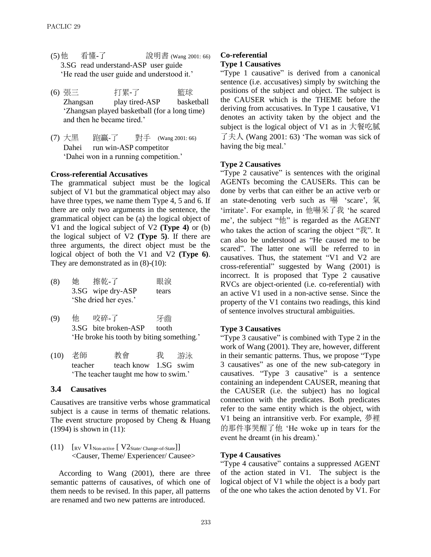- (5)他 看懂-了 說明書 (Wang 2001: 66) 3.SG read understand-ASP user guide 'He read the user guide and understood it.'
- (6) 張三 打累-了 震球 Zhangsan play tired-ASP basketball 'Zhangsan played basketball (for a long time) and then he became tired.'
- (7) 大黑 跑贏-了 對手 (Wang 2001: 66) Dahei run win-ASP competitor 'Dahei won in a running competition.'

#### **Cross-referential Accusatives**

The grammatical subject must be the logical subject of V1 but the grammatical object may also have three types, we name them Type 4, 5 and 6. If there are only two arguments in the sentence, the grammatical object can be (a) the logical object of V1 and the logical subject of V2 **(Type 4)** or (b) the logical subject of V2 **(Type 5)**. If there are three arguments, the direct object must be the logical object of both the V1 and V2 **(Type 6)**. They are demonstrated as in  $(8)-(10)$ :

- (8) 她 擦乾-了 眼淚 3.SG wipe dry-ASP tears 'She dried her eyes.'
- (9) 他 咬碎-了 牙齒 3.SG bite broken-ASP tooth 'He broke his tooth by biting something.'
- (10) 老師 教會 我 游泳 teacher teach know 1.SG swim 'The teacher taught me how to swim.'

### **3.4 Causatives**

Causatives are transitive verbs whose grammatical subject is a cause in terms of thematic relations. The event structure proposed by Cheng & Huang (1994) is shown in (11):

 $(11)$   $\left[\text{RV } V1_{\text{Non-active}} \left[ \right. V2_{\text{State/Change-of-State}} \right]\right]$ <Causer, Theme/ Experiencer/ Causee>

According to Wang (2001), there are three semantic patterns of causatives, of which one of them needs to be revised. In this paper, all patterns are renamed and two new patterns are introduced.

### **Co-referential**

#### **Type 1 Causatives**

"Type 1 causative" is derived from a canonical sentence (i.e. accusatives) simply by switching the positions of the subject and object. The subject is the CAUSER which is the THEME before the deriving from accusatives. In Type 1 causative, V1 denotes an activity taken by the object and the subject is the logical object of V1 as in 大餐吃膩 了夫人 (Wang 2001: 63) 'The woman was sick of having the big meal.'

#### **Type 2 Causatives**

"Type 2 causative" is sentences with the original AGENTs becoming the CAUSERs. This can be done by verbs that can either be an active verb or an state-denoting verb such as 嚇 'scare', 氣 'irritate'. For example, in 他嚇呆了我 'he scared me', the subject "他" is regarded as the AGENT who takes the action of scaring the object "我". It can also be understood as "He caused me to be scared". The latter one will be referred to in causatives. Thus, the statement "V1 and V2 are cross-referential" suggested by Wang (2001) is incorrect. It is proposed that Type 2 causative RVCs are object-oriented (i.e. co-referential) with an active V1 used in a non-active sense. Since the property of the V1 contains two readings, this kind of sentence involves structural ambiguities.

#### **Type 3 Causatives**

"Type 3 causative" is combined with Type 2 in the work of Wang (2001). They are, however, different in their semantic patterns. Thus, we propose "Type 3 causatives" as one of the new sub-category in causatives. "Type 3 causative" is a sentence containing an independent CAUSER, meaning that the CAUSER (i.e. the subject) has no logical connection with the predicates. Both predicates refer to the same entity which is the object, with V1 being an intransitive verb. For example, 夢裡 的那件事哭醒了他 'He woke up in tears for the event he dreamt (in his dream).'

#### **Type 4 Causatives**

"Type 4 causative" contains a suppressed AGENT of the action stated in V1. The subject is the logical object of V1 while the object is a body part of the one who takes the action denoted by V1. For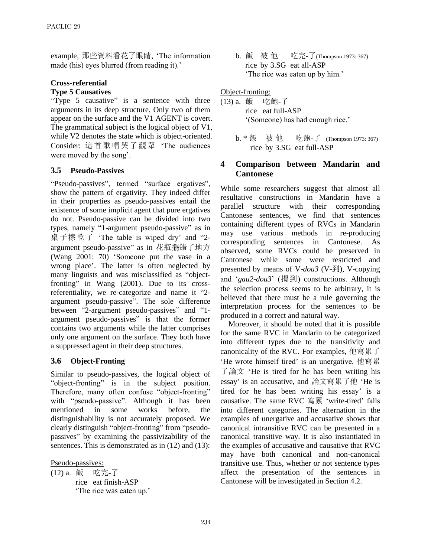example, 那些資料看花了眼睛, 'The information made (his) eyes blurred (from reading it).'

# **Cross-referential**

### **Type 5 Causatives**

"Type 5 causative" is a sentence with three arguments in its deep structure. Only two of them appear on the surface and the V1 AGENT is covert. The grammatical subject is the logical object of V1, while V2 denotes the state which is object-oriented. Consider: 這首歌唱哭了觀眾 'The audiences were moved by the song'.

# **3.5 Pseudo-Passives**

"Pseudo-passives", termed "surface ergatives", show the pattern of ergativity. They indeed differ in their properties as pseudo-passives entail the existence of some implicit agent that pure ergatives do not. Pseudo-passive can be divided into two types, namely "1-argument pseudo-passive" as in 桌子擦乾了 'The table is wiped dry' and "2 argument pseudo-passive" as in 花瓶擺錯了地方 (Wang 2001: 70) 'Someone put the vase in a wrong place'. The latter is often neglected by many linguists and was misclassified as "objectfronting" in Wang (2001). Due to its crossreferentiality, we re-categorize and name it "2 argument pseudo-passive". The sole difference between "2-argument pseudo-passives" and "1 argument pseudo-passives" is that the former contains two arguments while the latter comprises only one argument on the surface. They both have a suppressed agent in their deep structures.

# **3.6 Object-Fronting**

Similar to pseudo-passives, the logical object of "object-fronting" is in the subject position. Therefore, many often confuse "object-fronting" with "pseudo-passive". Although it has been mentioned in some works before, the distinguishability is not accurately proposed. We clearly distinguish "object-fronting" from "pseudopassives" by examining the passivizability of the sentences. This is demonstrated as in  $(12)$  and  $(13)$ :

Pseudo-passives:

(12) a. 飯 吃完-了 rice eat finish-ASP 'The rice was eaten up.' b. 飯 被 他 吃完-了(Thompson 1973: 367) rice by 3.SG eat all-ASP 'The rice was eaten up by him.'

### Object-fronting:

- (13) a. 飯 吃飽-了 rice eat full-ASP '(Someone) has had enough rice.'
	- b. \* 飯 被 他 吃飽-了 (Thompson 1973: 367) rice by 3.SG eat full-ASP

# **4 Comparison between Mandarin and Cantonese**

While some researchers suggest that almost all resultative constructions in Mandarin have a parallel structure with their corresponding Cantonese sentences, we find that sentences containing different types of RVCs in Mandarin may use various methods in re-producing corresponding sentences in Cantonese. As observed, some RVCs could be preserved in Cantonese while some were restricted and presented by means of V-*dou3* (V-到), V-copying and '*gau2-dou3*' (攪到) constructions. Although the selection process seems to be arbitrary, it is believed that there must be a rule governing the interpretation process for the sentences to be produced in a correct and natural way.

Moreover, it should be noted that it is possible for the same RVC in Mandarin to be categorized into different types due to the transitivity and canonicality of the RVC. For examples, 他寫累了 'He wrote himself tired' is an unergative, 他寫累 了論文 'He is tired for he has been writing his essay' is an accusative, and 論文寫累了他 'He is tired for he has been writing his essay' is a causative. The same RVC 寫累 'write-tired' falls into different categories. The alternation in the examples of unergative and accusative shows that canonical intransitive RVC can be presented in a canonical transitive way. It is also instantiated in the examples of accusative and causative that RVC may have both canonical and non-canonical transitive use. Thus, whether or not sentence types affect the presentation of the sentences in Cantonese will be investigated in Section 4.2.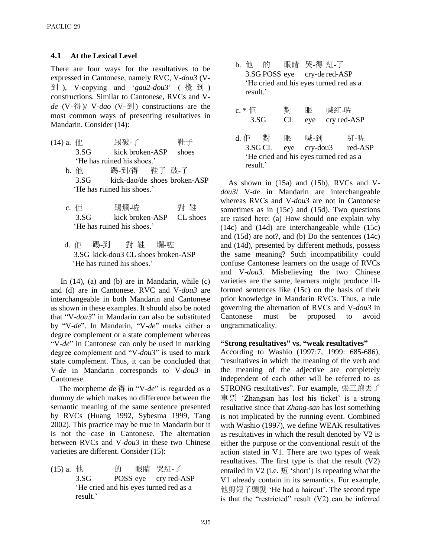### **4.1 At the Lexical Level**

There are four ways for the resultatives to be expressed in Cantonese, namely RVC, V-*dou3* (V-到 ), V-copying and '*gau2-dou3*' ( 攪 到 ) constructions. Similar to Cantonese, RVCs and V*de* (V-得)/ V-*dao* (V-到) constructions are the most common ways of presenting resultatives in Mandarin. Consider (14):

- (14) a. 他 踢破-了 鞋子 3.SG kick broken-ASP shoes 'He has ruined his shoes.' b. 他 踢-到/得 鞋子 破-了
	- 3.SG kick-dao/de shoes broken-ASP 'He has ruined his shoes.'
	- c. 佢 踢爛-咗 對 鞋 3.SG kick broken-ASP CL shoes 'He has ruined his shoes.'
	- d. 佢 踢-到 對 鞋 爛-咗 3.SG kick-dou3 CL shoes broken-ASP 'He has ruined his shoes.'

In  $(14)$ ,  $(a)$  and  $(b)$  are in Mandarin, while  $(c)$ and (d) are in Cantonese. RVC and V-*dou3* are interchangeable in both Mandarin and Cantonese as shown in these examples. It should also be noted that "V-*dou3*" in Mandarin can also be substituted by "V-*de*". In Mandarin, "V-*de*" marks either a degree complement or a state complement whereas "V-*de*" in Cantonese can only be used in marking degree complement and "V-*dou3*" is used to mark state complement. Thus, it can be concluded that V-*de* in Mandarin corresponds to V-*dou3* in Cantonese.

The morpheme *de* 得 in "V-*de*" is regarded as a dummy *de* which makes no difference between the semantic meaning of the same sentence presented by RVCs (Huang 1992, Sybesma 1999, Tang 2002). This practice may be true in Mandarin but it is not the case in Cantonese. The alternation between RVCs and V-*dou3* in these two Chinese varieties are different. Consider (15):

(15) a. 他 的 眼睛 哭紅-了 3.SG POSS eye cry red-ASP 'He cried and his eyes turned red as a result.'

b. 他 的 眼睛 哭-得 紅-了 3.SG POSS eye cry-de red-ASP 'He cried and his eyes turned red as a result.'

| c. $*$ ( $\overline{E}$ ) |                                        | 對   | 眼              | 喊紅-咗 |             |
|---------------------------|----------------------------------------|-----|----------------|------|-------------|
| 3.SG                      |                                        | CL  | eye            |      | cry red-ASP |
| d. 佢                      | 對                                      | 眼   | 喊-到            |      | 紅-咗         |
| 3.SG CL                   |                                        | eye | $cry$ -dou $3$ |      | red-ASP     |
|                           | 'He cried and his eyes turned red as a |     |                |      |             |
| result.'                  |                                        |     |                |      |             |

As shown in (15a) and (15b), RVCs and V*dou3*/ V-*de* in Mandarin are interchangeable whereas RVCs and V-*dou3* are not in Cantonese sometimes as in (15c) and (15d). Two questions are raised here: (a) How should one explain why (14c) and (14d) are interchangeable while (15c) and (15d) are not?, and (b) Do the sentences (14c) and (14d), presented by different methods, possess the same meaning? Such incompatibility could confuse Cantonese learners on the usage of RVCs and V-*dou3*. Misbelieving the two Chinese varieties are the same, learners might produce illformed sentences like (15c) on the basis of their prior knowledge in Mandarin RVCs. Thus, a rule governing the alternation of RVCs and V-*dou3* in Cantonese must be proposed to avoid ungrammaticality.

#### **"Strong resultatives" vs. "weak resultatives"**

According to Washio (1997:7, 1999: 685-686), "resultatives in which the meaning of the verb and the meaning of the adjective are completely independent of each other will be referred to as STRONG resultatives". For example, 張三跑丟了 車票 'Zhangsan has lost his ticket' is a strong resultative since that *Zhang-san* has lost something is not implicated by the running event. Combined with Washio (1997), we define WEAK resultatives as resultatives in which the result denoted by V2 is either the purpose or the conventional result of the action stated in V1. There are two types of weak resultatives. The first type is that the result (V2) entailed in V2 (i.e.  $\overline{\mathfrak{B}}$  'short') is repeating what the V1 already contain in its semantics. For example, 他剪短了頭髮 'He had a haircut'. The second type is that the "restricted" result (V2) can be inferred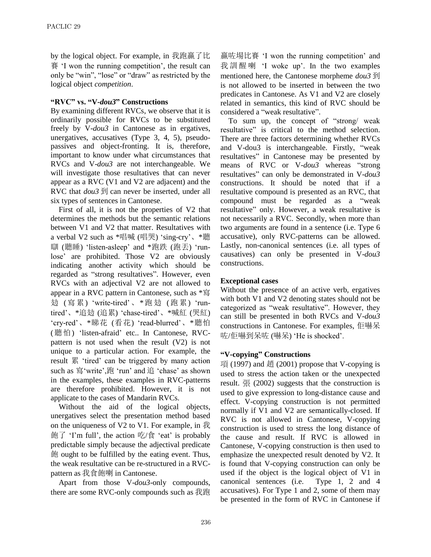by the logical object. For example, in 我跑贏了比 賽 'I won the running competition', the result can only be "win", "lose" or "draw" as restricted by the logical object *competition*.

### **"RVC" vs. "V-***dou3***" Constructions**

By examining different RVCs, we observe that it is ordinarily possible for RVCs to be substituted freely by V-*dou3* in Cantonese as in ergatives, unergatives, accusatives (Type 3, 4, 5), pseudopassives and object-fronting. It is, therefore, important to know under what circumstances that RVCs and V-*dou3* are not interchangeable. We will investigate those resultatives that can never appear as a RVC (V1 and V2 are adjacent) and the RVC that *dou3* 到 can never be inserted, under all six types of sentences in Cantonese.

First of all, it is not the properties of V2 that determines the methods but the semantic relations between V1 and V2 that matter. Resultatives with a verbal V2 such as \*唱喊 (唱哭) 'sing-cry'、\*聽 瞓 (聽睡) 'listen-asleep' and \*跑跌 (跑丟) 'runlose' are prohibited. Those V2 are obviously indicating another activity which should be regarded as "strong resultatives". However, even RVCs with an adjectival V2 are not allowed to appear in a RVC pattern in Cantonese, such as \*寫 攰 (寫累) 'write-tired'、\*跑攰 (跑累) 'runtired'、\*追攰 (追累) 'chase-tired'、\*喊紅 (哭紅) 'cry-red'、\*睇花 (看花) 'read-blurred'、\*聽怕 (聽怕) 'listen-afraid' etc.. In Cantonese, RVCpattern is not used when the result (V2) is not unique to a particular action. For example, the result 累 'tired' can be triggered by many action such as 寫'write',跑 'run' and 追 'chase' as shown in the examples, these examples in RVC-patterns are therefore prohibited. However, it is not applicate to the cases of Mandarin RVCs.

Without the aid of the logical objects, unergatives select the presentation method based on the uniqueness of V2 to V1. For example, in 我 飽了 'I'm full', the action 吃/食 'eat' is probably predictable simply because the adjectival predicate 飽 ought to be fulfilled by the eating event. Thus, the weak resultative can be re-structured in a RVCpattern as 我食飽喇 in Cantonese.

Apart from those V-*dou3*-only compounds, there are some RVC-only compounds such as 我跑

贏咗場比賽 'I won the running competition' and 我訓醒喇 'I woke up'. In the two examples mentioned here, the Cantonese morpheme *dou3* 到 is not allowed to be inserted in between the two predicates in Cantonese. As V1 and V2 are closely related in semantics, this kind of RVC should be considered a "weak resultative".

To sum up, the concept of "strong/ weak resultative" is critical to the method selection. There are three factors determining whether RVCs and V-dou3 is interchangeable. Firstly, "weak resultatives" in Cantonese may be presented by means of RVC or V-*dou3* whereas "strong resultatives" can only be demonstrated in V-*dou3* constructions. It should be noted that if a resultative compound is presented as an RVC, that compound must be regarded as a "weak resultative" only. However, a weak resultative is not necessarily a RVC. Secondly, when more than two arguments are found in a sentence (i.e. Type 6 accusative), only RVC-patterns can be allowed. Lastly, non-canonical sentences (i.e. all types of causatives) can only be presented in V-*dou3* constructions.

#### **Exceptional cases**

Without the presence of an active verb, ergatives with both V1 and V2 denoting states should not be categorized as "weak resultative". However, they can still be presented in both RVCs and V-*dou3* constructions in Cantonese. For examples, 佢嚇呆 咗/佢嚇到呆咗 (嚇呆) 'He is shocked'.

#### **"V-copying" Constructions**

項 (1997) and 趙 (2001) propose that V-copying is used to stress the action taken or the unexpected result. 張 (2002) suggests that the construction is used to give expression to long-distance cause and effect. V-copying construction is not permitted normally if V1 and V2 are semantically-closed. If RVC is not allowed in Cantonese, V-copying construction is used to stress the long distance of the cause and result. If RVC is allowed in Cantonese, V-copying construction is then used to emphasize the unexpected result denoted by V2. It is found that V-copying construction can only be used if the object is the logical object of V1 in canonical sentences (i.e. Type 1, 2 and 4 accusatives). For Type 1 and 2, some of them may be presented in the form of RVC in Cantonese if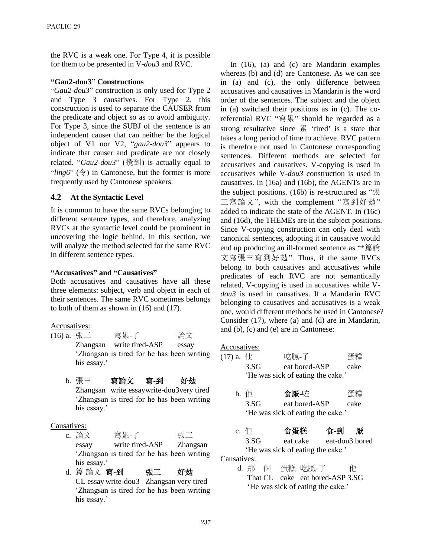the RVC is a weak one. For Type 4, it is possible for them to be presented in V-*dou3* and RVC.

### **"Gau2-dou3" Constructions**

"*Gau2-dou3*" construction is only used for Type 2 and Type 3 causatives. For Type 2, this construction is used to separate the CAUSER from the predicate and object so as to avoid ambiguity. For Type 3, since the SUBJ of the sentence is an independent causer that can neither be the logical object of V1 nor V2, "*gau2-dou3*" appears to indicate that causer and predicate are not closely related. "*Gau2-dou3*" (攪到) is actually equal to "*ling6*" ( $\hat{\diamond}$ ) in Cantonese, but the former is more frequently used by Cantonese speakers.

# **4.2 At the Syntactic Level**

It is common to have the same RVCs belonging to different sentence types, and therefore, analyzing RVCs at the syntactic level could be prominent in uncovering the logic behind. In this section, we will analyze the method selected for the same RVC in different sentence types.

# **"Accusatives" and "Causatives"**

Both accusatives and causatives have all these three elements: subject, verb and object in each of their sentences. The same RVC sometimes belongs to both of them as shown in (16) and (17).

### Accusatives:

- (16) a. 張三 寫累-了 論文 Zhangsan write tired-ASP essay 'Zhangsan is tired for he has been writing his essay.'
	- b. 張三 寫論文 寫**-**到 好攰 Zhangsan write essaywrite-dou3very tired 'Zhangsan is tired for he has been writing his essay.'

### Causatives:

- c. 論文 ここ 寫累-了 ここ ここ 張三 essay write tired-ASP Zhangsan 'Zhangsan is tired for he has been writing his essay.'
- d. 篇 論文 寫**-**到 張三 好攰 CL essay write-dou3 Zhangsan very tired 'Zhangsan is tired for he has been writing his essay.'

In (16), (a) and (c) are Mandarin examples whereas (b) and (d) are Cantonese. As we can see in (a) and (c), the only difference between accusatives and causatives in Mandarin is the word order of the sentences. The subject and the object in (a) switched their positions as in (c). The coreferential RVC "寫累" should be regarded as a strong resultative since 累 'tired' is a state that takes a long period of time to achieve. RVC pattern is therefore not used in Cantonese corresponding sentences. Different methods are selected for accusatives and causatives. V-copying is used in accusatives while V-*dou3* construction is used in causatives. In (16a) and (16b), the AGENTs are in the subject positions. (16b) is re-structured as "張 三寫論文", with the complement "寫到好攰" added to indicate the state of the AGENT. In (16c) and (16d), the THEMEs are in the subject positions. Since V-copying construction can only deal with canonical sentences, adopting it in causative would end up producing an ill-formed sentence as "\*篇論 文寫張三寫到好攰". Thus, if the same RVCs belong to both causatives and accusatives while predicates of each RVC are not semantically related, V-copying is used in accusatives while V*dou3* is used in causatives. If a Mandarin RVC belonging to causatives and accusatives is a weak one, would different methods be used in Cantonese? Consider (17), where (a) and (d) are in Mandarin, and (b), (c) and (e) are in Cantonese:

### Accusatives:

| $(17)$ a. $4\underline{t}$ |                                   | 吃膩-了          | 蛋糕   |  |  |  |
|----------------------------|-----------------------------------|---------------|------|--|--|--|
|                            | 3.SG                              | eat bored-ASP | cake |  |  |  |
|                            | 'He was sick of eating the cake.' |               |      |  |  |  |

| b. 佢 | 食厭-咗 | 蛋糕 |
|------|------|----|
|      |      |    |

3.SG eat bored-ASP cake 'He was sick of eating the cake.'

# c. 佢 食蛋糕 食**-**到厭

3.SG eat cake eat-dou3 bored 'He was sick of eating the cake.' Causatives:

d. 那 個 蛋糕 吃膩-了 他 That CL cake eat bored-ASP 3.SG 'He was sick of eating the cake.'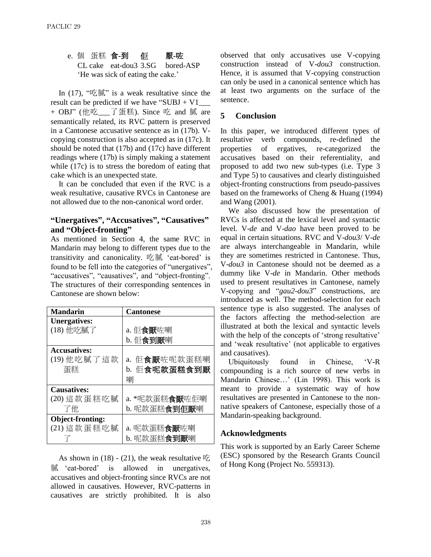e. 個 蛋糕 食**-**到 佢 厭**-**咗 CL cake eat-dou3 3.SG bored-ASP 'He was sick of eating the cake.'

In  $(17)$ , "吃膩" is a weak resultative since the result can be predicted if we have "SUBJ + V1 + OBJ" (他吃\_\_\_了蛋糕). Since 吃 and 膩 are semantically related, its RVC pattern is preserved in a Cantonese accusative sentence as in (17b). Vcopying construction is also accepted as in (17c). It should be noted that (17b) and (17c) have different readings where (17b) is simply making a statement while (17c) is to stress the boredom of eating that cake which is an unexpected state.

It can be concluded that even if the RVC is a weak resultative, causative RVCs in Cantonese are not allowed due to the non-canonical word order.

# **"Unergatives", "Accusatives", "Causatives" and "Object-fronting"**

As mentioned in Section 4, the same RVC in Mandarin may belong to different types due to the transitivity and canonicality. 吃膩 'eat-bored' is found to be fell into the categories of "unergatives", "accusatives", "causatives", and "object-fronting". The structures of their corresponding sentences in Cantonese are shown below:

| <b>Mandarin</b>     | <b>Cantonese</b>       |  |
|---------------------|------------------------|--|
| <b>Unergatives:</b> |                        |  |
| (18) 他吃膩了           | a. 佢 <b>食厭</b> 咗喇      |  |
|                     | b. 佢食到厭喇               |  |
| <b>Accusatives:</b> |                        |  |
| (19) 他吃膩了這款         | a. 佢食厭咗呢款蛋糕喇           |  |
| 蛋糕                  | b. 佢食呢款蛋糕食到厭           |  |
|                     | 喇                      |  |
| <b>Causatives:</b>  |                        |  |
| (20) 這款蛋糕吃膩         | a. *呢款蛋糕 <b>食厭</b> 咗佢喇 |  |
| 了他                  | b. 呢款蛋糕食到佢厭喇           |  |
| Object-fronting:    |                        |  |
| (21) 這款蛋糕吃膩         | a. 呢款蛋糕 <b>食厭</b> 咗喇   |  |
|                     | b. 呢款蛋糕食到厭喇            |  |

As shown in  $(18)$  -  $(21)$ , the weak resultative  $\mathbb{E}$ 膩 'eat-bored' is allowed in unergatives, accusatives and object-fronting since RVCs are not allowed in causatives. However, RVC-patterns in causatives are strictly prohibited. It is also

observed that only accusatives use V-copying construction instead of V-*dou3* construction. Hence, it is assumed that V-copying construction can only be used in a canonical sentence which has at least two arguments on the surface of the sentence.

# **5 Conclusion**

In this paper, we introduced different types of resultative verb compounds, re-defined the properties of ergatives, re-categorized the accusatives based on their referentiality, and proposed to add two new sub-types (i.e. Type 3 and Type 5) to causatives and clearly distinguished object-fronting constructions from pseudo-passives based on the frameworks of Cheng & Huang (1994) and Wang (2001).

We also discussed how the presentation of RVCs is affected at the lexical level and syntactic level. V-*de* and V-*dao* have been proved to be equal in certain situations. RVC and V-*dou3*/ V-*de* are always interchangeable in Mandarin, while they are sometimes restricted in Cantonese. Thus, V-*dou3* in Cantonese should not be deemed as a dummy like V-*de* in Mandarin. Other methods used to present resultatives in Cantonese, namely V-copying and "*gau2-dou3*" constructions, are introduced as well. The method-selection for each sentence type is also suggested. The analyses of the factors affecting the method-selection are illustrated at both the lexical and syntactic levels with the help of the concepts of 'strong resultative' and 'weak resultative' (not applicable to ergatives and causatives).

Ubiquitously found in Chinese, 'V-R compounding is a rich source of new verbs in Mandarin Chinese…' (Lin 1998). This work is meant to provide a systematic way of how resultatives are presented in Cantonese to the nonnative speakers of Cantonese, especially those of a Mandarin-speaking background.

# **Acknowledgments**

This work is supported by an Early Career Scheme (ESC) sponsored by the Research Grants Council of Hong Kong (Project No. 559313).